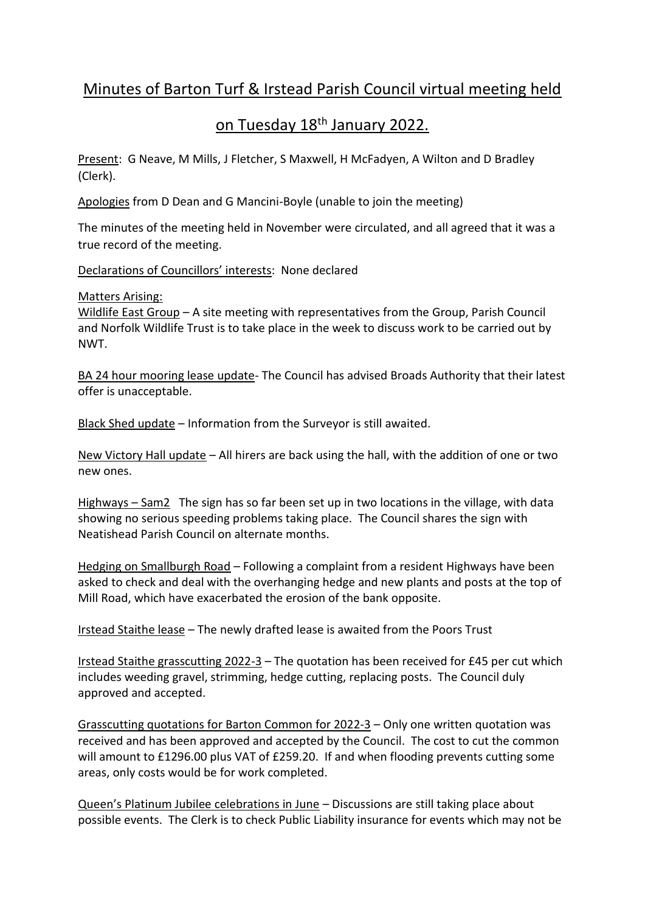# Minutes of Barton Turf & Irstead Parish Council virtual meeting held

## on Tuesday 18th January 2022.

Present: G Neave, M Mills, J Fletcher, S Maxwell, H McFadyen, A Wilton and D Bradley (Clerk).

Apologies from D Dean and G Mancini-Boyle (unable to join the meeting)

The minutes of the meeting held in November were circulated, and all agreed that it was a true record of the meeting.

## Declarations of Councillors' interests: None declared

## Matters Arising:

Wildlife East Group - A site meeting with representatives from the Group, Parish Council and Norfolk Wildlife Trust is to take place in the week to discuss work to be carried out by NWT.

BA 24 hour mooring lease update- The Council has advised Broads Authority that their latest offer is unacceptable.

Black Shed update – Information from the Surveyor is still awaited.

New Victory Hall update – All hirers are back using the hall, with the addition of one or two new ones.

Highways – Sam2 The sign has so far been set up in two locations in the village, with data showing no serious speeding problems taking place. The Council shares the sign with Neatishead Parish Council on alternate months.

Hedging on Smallburgh Road – Following a complaint from a resident Highways have been asked to check and deal with the overhanging hedge and new plants and posts at the top of Mill Road, which have exacerbated the erosion of the bank opposite.

Irstead Staithe lease – The newly drafted lease is awaited from the Poors Trust

Irstead Staithe grasscutting 2022-3 – The quotation has been received for £45 per cut which includes weeding gravel, strimming, hedge cutting, replacing posts. The Council duly approved and accepted.

Grasscutting quotations for Barton Common for 2022-3 – Only one written quotation was received and has been approved and accepted by the Council. The cost to cut the common will amount to £1296.00 plus VAT of £259.20. If and when flooding prevents cutting some areas, only costs would be for work completed.

Queen's Platinum Jubilee celebrations in June – Discussions are still taking place about possible events. The Clerk is to check Public Liability insurance for events which may not be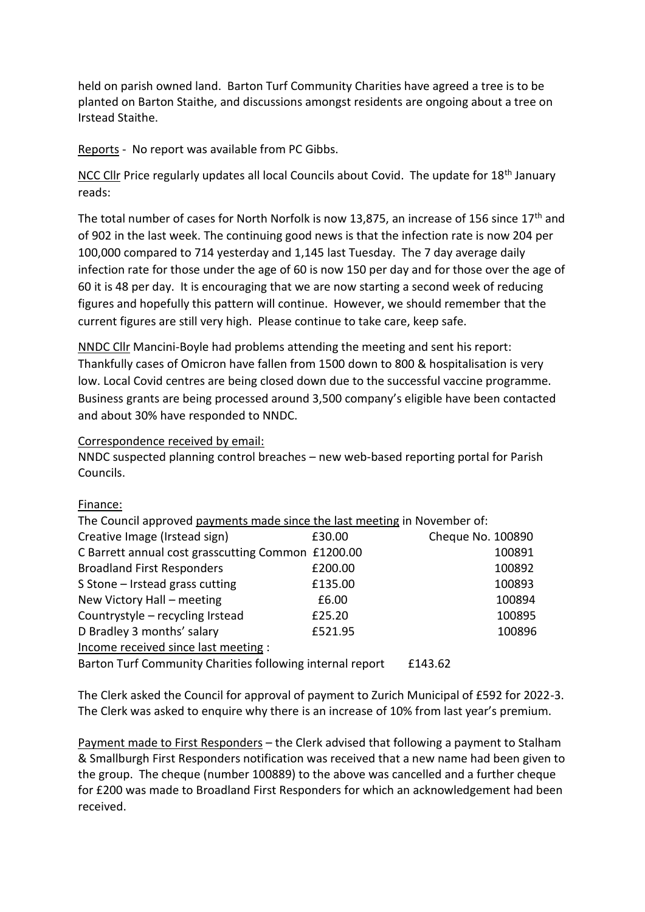held on parish owned land. Barton Turf Community Charities have agreed a tree is to be planted on Barton Staithe, and discussions amongst residents are ongoing about a tree on Irstead Staithe.

Reports - No report was available from PC Gibbs.

NCC Cllr Price regularly updates all local Councils about Covid. The update for 18<sup>th</sup> January reads:

The total number of cases for North Norfolk is now 13,875, an increase of 156 since 17<sup>th</sup> and of 902 in the last week. The continuing good news is that the infection rate is now 204 per 100,000 compared to 714 yesterday and 1,145 last Tuesday. The 7 day average daily infection rate for those under the age of 60 is now 150 per day and for those over the age of 60 it is 48 per day. It is encouraging that we are now starting a second week of reducing figures and hopefully this pattern will continue. However, we should remember that the current figures are still very high. Please continue to take care, keep safe.

NNDC Cllr Mancini-Boyle had problems attending the meeting and sent his report: Thankfully cases of Omicron have fallen from 1500 down to 800 & hospitalisation is very low. Local Covid centres are being closed down due to the successful vaccine programme. Business grants are being processed around 3,500 company's eligible have been contacted and about 30% have responded to NNDC.

#### Correspondence received by email:

NNDC suspected planning control breaches – new web-based reporting portal for Parish Councils.

| 1111911 <b>00.</b>                                                        |         |                   |        |
|---------------------------------------------------------------------------|---------|-------------------|--------|
| The Council approved payments made since the last meeting in November of: |         |                   |        |
| Creative Image (Irstead sign)                                             | £30.00  | Cheque No. 100890 |        |
| C Barrett annual cost grasscutting Common £1200.00                        |         |                   | 100891 |
| <b>Broadland First Responders</b>                                         | £200.00 |                   | 100892 |
| S Stone - Irstead grass cutting                                           | £135.00 |                   | 100893 |
| New Victory Hall - meeting                                                | £6.00   |                   | 100894 |
| Countrystyle - recycling Irstead                                          | £25.20  |                   | 100895 |
| D Bradley 3 months' salary                                                | £521.95 |                   | 100896 |
| Income received since last meeting :                                      |         |                   |        |
| Barton Turf Community Charities following internal report                 |         | £143.62           |        |
|                                                                           |         |                   |        |

## The Clerk asked the Council for approval of payment to Zurich Municipal of £592 for 2022-3. The Clerk was asked to enquire why there is an increase of 10% from last year's premium.

Payment made to First Responders – the Clerk advised that following a payment to Stalham & Smallburgh First Responders notification was received that a new name had been given to the group. The cheque (number 100889) to the above was cancelled and a further cheque for £200 was made to Broadland First Responders for which an acknowledgement had been received.

#### Einance: